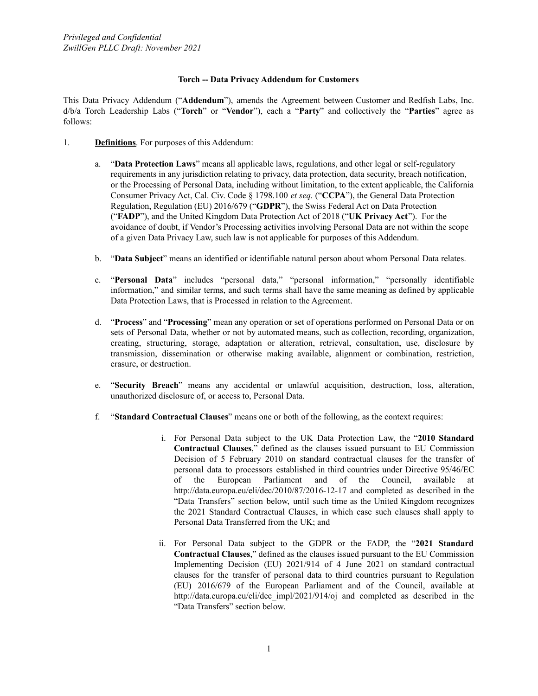## **Torch -- Data Privacy Addendum for Customers**

This Data Privacy Addendum ("**Addendum**"), amends the Agreement between Customer and Redfish Labs, Inc. d/b/a Torch Leadership Labs ("**Torch**" or "**Vendor**"), each a "**Party**" and collectively the "**Parties**" agree as follows:

- 1. **Definitions**. For purposes of this Addendum:
	- a. "**Data Protection Laws**" means all applicable laws, regulations, and other legal or self-regulatory requirements in any jurisdiction relating to privacy, data protection, data security, breach notification, or the Processing of Personal Data, including without limitation, to the extent applicable, the California Consumer Privacy Act, Cal. Civ. Code § 1798.100 *et seq.* ("**CCPA**"), the General Data Protection Regulation, Regulation (EU) 2016/679 ("**GDPR**"), the Swiss Federal Act on Data Protection ("**FADP**"), and the United Kingdom Data Protection Act of 2018 ("**UK Privacy Act**"). For the avoidance of doubt, if Vendor's Processing activities involving Personal Data are not within the scope of a given Data Privacy Law, such law is not applicable for purposes of this Addendum.
	- b. "**Data Subject**" means an identified or identifiable natural person about whom Personal Data relates.
	- c. "**Personal Data**" includes "personal data," "personal information," "personally identifiable information," and similar terms, and such terms shall have the same meaning as defined by applicable Data Protection Laws, that is Processed in relation to the Agreement.
	- d. "**Process**" and "**Processing**" mean any operation or set of operations performed on Personal Data or on sets of Personal Data, whether or not by automated means, such as collection, recording, organization, creating, structuring, storage, adaptation or alteration, retrieval, consultation, use, disclosure by transmission, dissemination or otherwise making available, alignment or combination, restriction, erasure, or destruction.
	- e. "**Security Breach**" means any accidental or unlawful acquisition, destruction, loss, alteration, unauthorized disclosure of, or access to, Personal Data.
	- f. "**Standard Contractual Clauses**" means one or both of the following, as the context requires:
		- i. For Personal Data subject to the UK Data Protection Law, the "**2010 Standard Contractual Clauses**," defined as the clauses issued pursuant to EU Commission Decision of 5 February 2010 on standard contractual clauses for the transfer of personal data to processors established in third countries under Directive 95/46/EC of the European Parliament and of the Council, available at <http://data.europa.eu/eli/dec/2010/87/2016-12-17> and completed as described in the "Data Transfers" section below, until such time as the United Kingdom recognizes the 2021 Standard Contractual Clauses, in which case such clauses shall apply to Personal Data Transferred from the UK; and
		- ii. For Personal Data subject to the GDPR or the FADP, the "**2021 Standard Contractual Clauses**," defined as the clauses issued pursuant to the EU Commission Implementing Decision (EU) 2021/914 of 4 June 2021 on standard contractual clauses for the transfer of personal data to third countries pursuant to Regulation (EU) 2016/679 of the European Parliament and of the Council, available at http://data.europa.eu/eli/dec impl/2021/914/oj and completed as described in the "Data Transfers" section below.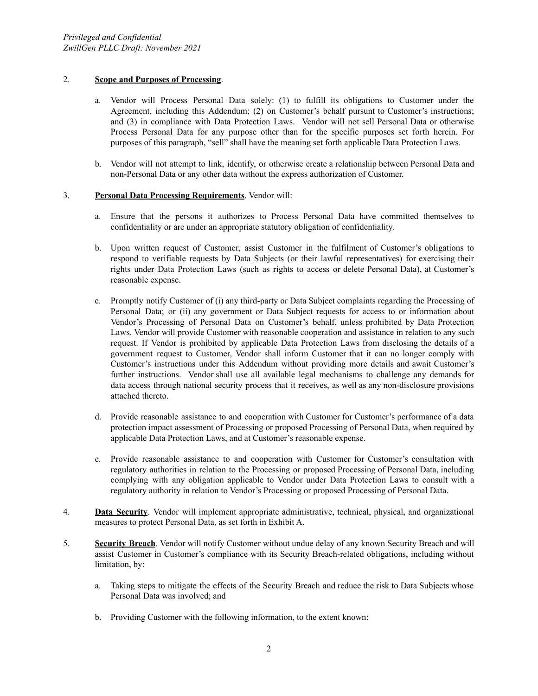## 2. **Scope and Purposes of Processing**.

- a. Vendor will Process Personal Data solely: (1) to fulfill its obligations to Customer under the Agreement, including this Addendum; (2) on Customer's behalf pursunt to Customer's instructions; and (3) in compliance with Data Protection Laws. Vendor will not sell Personal Data or otherwise Process Personal Data for any purpose other than for the specific purposes set forth herein. For purposes of this paragraph, "sell" shall have the meaning set forth applicable Data Protection Laws.
- b. Vendor will not attempt to link, identify, or otherwise create a relationship between Personal Data and non-Personal Data or any other data without the express authorization of Customer.

## 3. **Personal Data Processing Requirements**. Vendor will:

- a. Ensure that the persons it authorizes to Process Personal Data have committed themselves to confidentiality or are under an appropriate statutory obligation of confidentiality.
- b. Upon written request of Customer, assist Customer in the fulfilment of Customer's obligations to respond to verifiable requests by Data Subjects (or their lawful representatives) for exercising their rights under Data Protection Laws (such as rights to access or delete Personal Data), at Customer's reasonable expense.
- c. Promptly notify Customer of (i) any third-party or Data Subject complaints regarding the Processing of Personal Data; or (ii) any government or Data Subject requests for access to or information about Vendor's Processing of Personal Data on Customer's behalf, unless prohibited by Data Protection Laws. Vendor will provide Customer with reasonable cooperation and assistance in relation to any such request. If Vendor is prohibited by applicable Data Protection Laws from disclosing the details of a government request to Customer, Vendor shall inform Customer that it can no longer comply with Customer's instructions under this Addendum without providing more details and await Customer's further instructions. Vendor shall use all available legal mechanisms to challenge any demands for data access through national security process that it receives, as well as any non-disclosure provisions attached thereto.
- d. Provide reasonable assistance to and cooperation with Customer for Customer's performance of a data protection impact assessment of Processing or proposed Processing of Personal Data, when required by applicable Data Protection Laws, and at Customer's reasonable expense.
- e. Provide reasonable assistance to and cooperation with Customer for Customer's consultation with regulatory authorities in relation to the Processing or proposed Processing of Personal Data, including complying with any obligation applicable to Vendor under Data Protection Laws to consult with a regulatory authority in relation to Vendor's Processing or proposed Processing of Personal Data.
- 4. **Data Security**. Vendor will implement appropriate administrative, technical, physical, and organizational measures to protect Personal Data, as set forth in Exhibit A.
- 5. **Security Breach**. Vendor will notify Customer without undue delay of any known Security Breach and will assist Customer in Customer's compliance with its Security Breach-related obligations, including without limitation, by:
	- a. Taking steps to mitigate the effects of the Security Breach and reduce the risk to Data Subjects whose Personal Data was involved; and
	- b. Providing Customer with the following information, to the extent known: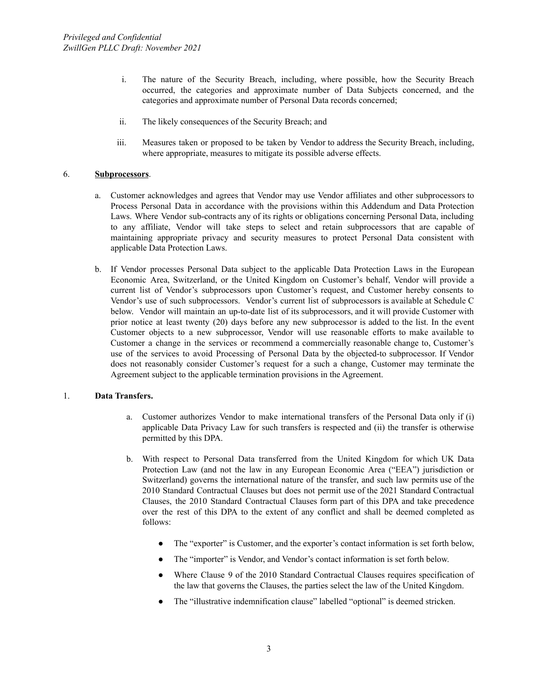- i. The nature of the Security Breach, including, where possible, how the Security Breach occurred, the categories and approximate number of Data Subjects concerned, and the categories and approximate number of Personal Data records concerned;
- ii. The likely consequences of the Security Breach; and
- iii. Measures taken or proposed to be taken by Vendor to address the Security Breach, including, where appropriate, measures to mitigate its possible adverse effects.

### 6. **Subprocessors**.

- a. Customer acknowledges and agrees that Vendor may use Vendor affiliates and other subprocessors to Process Personal Data in accordance with the provisions within this Addendum and Data Protection Laws. Where Vendor sub-contracts any of its rights or obligations concerning Personal Data, including to any affiliate, Vendor will take steps to select and retain subprocessors that are capable of maintaining appropriate privacy and security measures to protect Personal Data consistent with applicable Data Protection Laws.
- b. If Vendor processes Personal Data subject to the applicable Data Protection Laws in the European Economic Area, Switzerland, or the United Kingdom on Customer's behalf, Vendor will provide a current list of Vendor's subprocessors upon Customer's request, and Customer hereby consents to Vendor's use of such subprocessors. Vendor's current list of subprocessors is available at Schedule C below. Vendor will maintain an up-to-date list of its subprocessors, and it will provide Customer with prior notice at least twenty (20) days before any new subprocessor is added to the list. In the event Customer objects to a new subprocessor, Vendor will use reasonable efforts to make available to Customer a change in the services or recommend a commercially reasonable change to, Customer's use of the services to avoid Processing of Personal Data by the objected-to subprocessor. If Vendor does not reasonably consider Customer's request for a such a change, Customer may terminate the Agreement subject to the applicable termination provisions in the Agreement.

### 1. **Data Transfers.**

- a. Customer authorizes Vendor to make international transfers of the Personal Data only if (i) applicable Data Privacy Law for such transfers is respected and (ii) the transfer is otherwise permitted by this DPA.
- b. With respect to Personal Data transferred from the United Kingdom for which UK Data Protection Law (and not the law in any European Economic Area ("EEA") jurisdiction or Switzerland) governs the international nature of the transfer, and such law permits use of the 2010 Standard Contractual Clauses but does not permit use of the 2021 Standard Contractual Clauses, the 2010 Standard Contractual Clauses form part of this DPA and take precedence over the rest of this DPA to the extent of any conflict and shall be deemed completed as follows:
	- The "exporter" is Customer, and the exporter's contact information is set forth below,
	- The "importer" is Vendor, and Vendor's contact information is set forth below.
	- Where Clause 9 of the 2010 Standard Contractual Clauses requires specification of the law that governs the Clauses, the parties select the law of the United Kingdom.
	- The "illustrative indemnification clause" labelled "optional" is deemed stricken.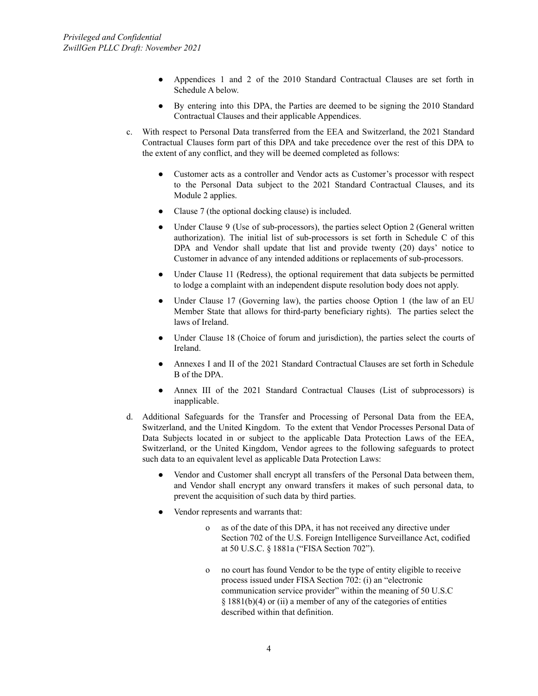- Appendices 1 and 2 of the 2010 Standard Contractual Clauses are set forth in Schedule A below.
- By entering into this DPA, the Parties are deemed to be signing the 2010 Standard Contractual Clauses and their applicable Appendices.
- c. With respect to Personal Data transferred from the EEA and Switzerland, the 2021 Standard Contractual Clauses form part of this DPA and take precedence over the rest of this DPA to the extent of any conflict, and they will be deemed completed as follows:
	- Customer acts as a controller and Vendor acts as Customer's processor with respect to the Personal Data subject to the 2021 Standard Contractual Clauses, and its Module 2 applies.
	- Clause 7 (the optional docking clause) is included.
	- Under Clause 9 (Use of sub-processors), the parties select Option 2 (General written authorization). The initial list of sub-processors is set forth in Schedule C of this DPA and Vendor shall update that list and provide twenty (20) days' notice to Customer in advance of any intended additions or replacements of sub-processors.
	- Under Clause 11 (Redress), the optional requirement that data subjects be permitted to lodge a complaint with an independent dispute resolution body does not apply.
	- Under Clause 17 (Governing law), the parties choose Option 1 (the law of an EU Member State that allows for third-party beneficiary rights). The parties select the laws of Ireland.
	- Under Clause 18 (Choice of forum and jurisdiction), the parties select the courts of Ireland.
	- Annexes I and II of the 2021 Standard Contractual Clauses are set forth in Schedule B of the DPA.
	- Annex III of the 2021 Standard Contractual Clauses (List of subprocessors) is inapplicable.
- d. Additional Safeguards for the Transfer and Processing of Personal Data from the EEA, Switzerland, and the United Kingdom. To the extent that Vendor Processes Personal Data of Data Subjects located in or subject to the applicable Data Protection Laws of the EEA, Switzerland, or the United Kingdom, Vendor agrees to the following safeguards to protect such data to an equivalent level as applicable Data Protection Laws:
	- Vendor and Customer shall encrypt all transfers of the Personal Data between them, and Vendor shall encrypt any onward transfers it makes of such personal data, to prevent the acquisition of such data by third parties.
	- Vendor represents and warrants that:
		- o as of the date of this DPA, it has not received any directive under Section 702 of the U.S. Foreign Intelligence Surveillance Act, codified at 50 U.S.C. § 1881a ("FISA Section 702").
		- o no court has found Vendor to be the type of entity eligible to receive process issued under FISA Section 702: (i) an "electronic communication service provider" within the meaning of 50 U.S.C  $§$  1881(b)(4) or (ii) a member of any of the categories of entities described within that definition.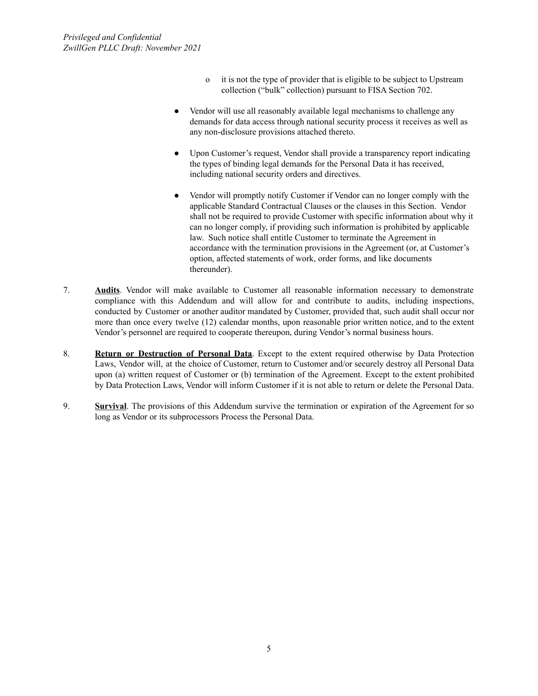- o it is not the type of provider that is eligible to be subject to Upstream collection ("bulk" collection) pursuant to FISA Section 702.
- Vendor will use all reasonably available legal mechanisms to challenge any demands for data access through national security process it receives as well as any non-disclosure provisions attached thereto.
- Upon Customer's request, Vendor shall provide a transparency report indicating the types of binding legal demands for the Personal Data it has received, including national security orders and directives.
- Vendor will promptly notify Customer if Vendor can no longer comply with the applicable Standard Contractual Clauses or the clauses in this Section. Vendor shall not be required to provide Customer with specific information about why it can no longer comply, if providing such information is prohibited by applicable law. Such notice shall entitle Customer to terminate the Agreement in accordance with the termination provisions in the Agreement (or, at Customer's option, affected statements of work, order forms, and like documents thereunder).
- 7. **Audits**. Vendor will make available to Customer all reasonable information necessary to demonstrate compliance with this Addendum and will allow for and contribute to audits, including inspections, conducted by Customer or another auditor mandated by Customer, provided that, such audit shall occur nor more than once every twelve (12) calendar months, upon reasonable prior written notice, and to the extent Vendor's personnel are required to cooperate thereupon, during Vendor's normal business hours.
- 8. **Return or Destruction of Personal Data**. Except to the extent required otherwise by Data Protection Laws, Vendor will, at the choice of Customer, return to Customer and/or securely destroy all Personal Data upon (a) written request of Customer or (b) termination of the Agreement. Except to the extent prohibited by Data Protection Laws, Vendor will inform Customer if it is not able to return or delete the Personal Data.
- 9. **Survival**. The provisions of this Addendum survive the termination or expiration of the Agreement for so long as Vendor or its subprocessors Process the Personal Data.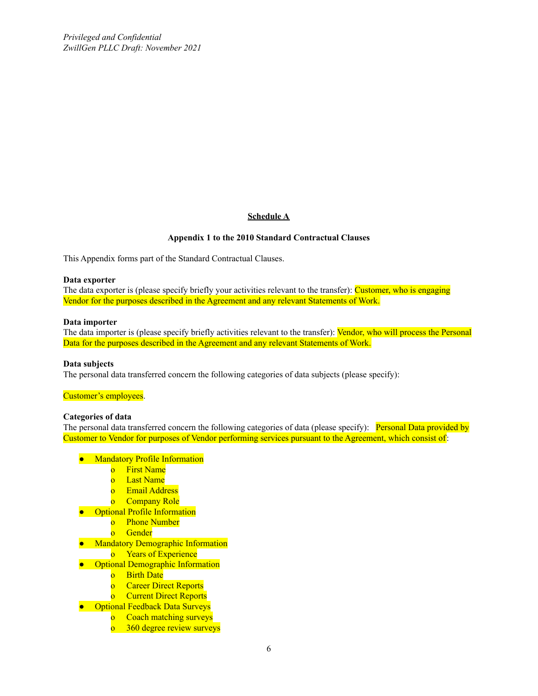*Privileged and Confidential ZwillGen PLLC Draft: November 2021*

## **Schedule A**

#### **Appendix 1 to the 2010 Standard Contractual Clauses**

This Appendix forms part of the Standard Contractual Clauses.

#### **Data exporter**

The data exporter is (please specify briefly your activities relevant to the transfer): Customer, who is engaging Vendor for the purposes described in the Agreement and any relevant Statements of Work.

#### **Data importer**

The data importer is (please specify briefly activities relevant to the transfer): **Vendor, who will process the Personal** Data for the purposes described in the Agreement and any relevant Statements of Work.

#### **Data subjects**

The personal data transferred concern the following categories of data subjects (please specify):

#### Customer's employees.

#### **Categories of data**

The personal data transferred concern the following categories of data (please specify): Personal Data provided by Customer to Vendor for purposes of Vendor performing services pursuant to the Agreement, which consist of:

- Mandatory Profile Information
	- o First Name
	- o Last Name
	- o Email Address
	- o Company Role
- Optional Profile Information
	- o Phone Number
	- o Gender
- Mandatory Demographic Information
	- o Years of Experience
- Optional Demographic Information
	- o Birth Date
	- o Career Direct Reports
	- o Current Direct Reports
- Optional Feedback Data Surveys
	- o Coach matching surveys
	- o 360 degree review surveys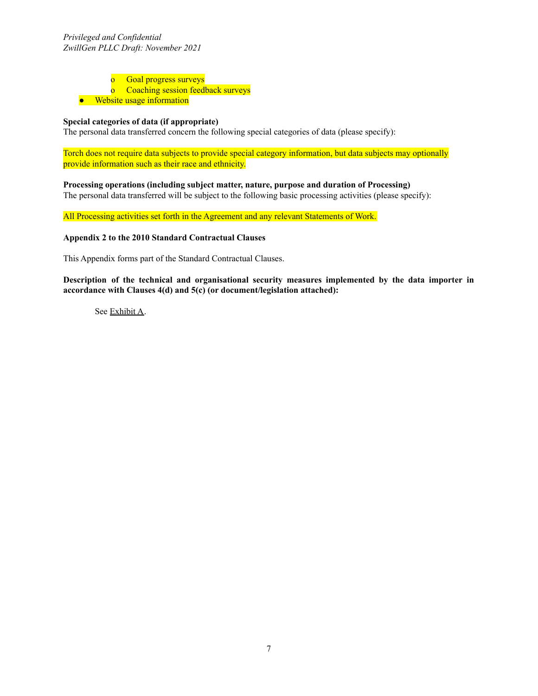o Goal progress surveys

o Coaching session feedback surveys

● Website usage information

## **Special categories of data (if appropriate)**

The personal data transferred concern the following special categories of data (please specify):

Torch does not require data subjects to provide special category information, but data subjects may optionally provide information such as their race and ethnicity.

**Processing operations (including subject matter, nature, purpose and duration of Processing)** The personal data transferred will be subject to the following basic processing activities (please specify):

All Processing activities set forth in the Agreement and any relevant Statements of Work.

#### **Appendix 2 to the 2010 Standard Contractual Clauses**

This Appendix forms part of the Standard Contractual Clauses.

**Description of the technical and organisational security measures implemented by the data importer in accordance with Clauses 4(d) and 5(c) (or document/legislation attached):**

See Exhibit A.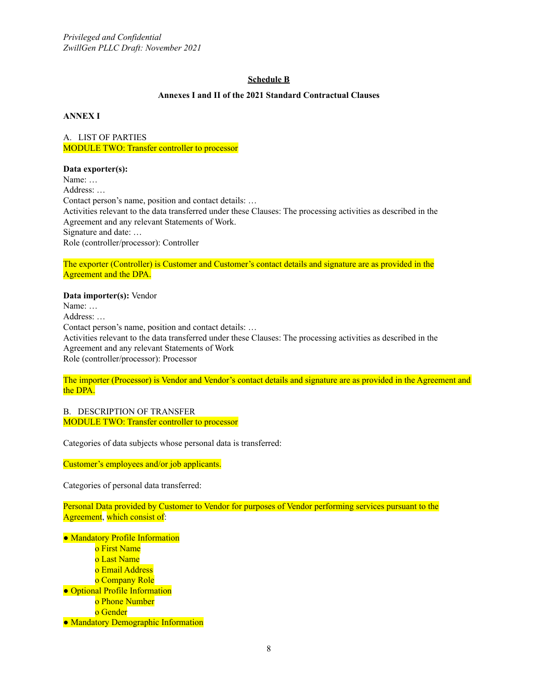## **Schedule B**

### **Annexes I and II of the 2021 Standard Contractual Clauses**

**ANNEX I**

A. LIST OF PARTIES MODULE TWO: Transfer controller to processor

#### **Data exporter(s):**

Name: … Address: … Contact person's name, position and contact details: … Activities relevant to the data transferred under these Clauses: The processing activities as described in the Agreement and any relevant Statements of Work. Signature and date: … Role (controller/processor): Controller

The exporter (Controller) is Customer and Customer's contact details and signature are as provided in the Agreement and the DPA.

**Data importer(s):** Vendor Name: … Address: … Contact person's name, position and contact details: … Activities relevant to the data transferred under these Clauses: The processing activities as described in the Agreement and any relevant Statements of Work Role (controller/processor): Processor

The importer (Processor) is Vendor and Vendor's contact details and signature are as provided in the Agreement and the DPA.

B. DESCRIPTION OF TRANSFER MODULE TWO: Transfer controller to processor

Categories of data subjects whose personal data is transferred:

Customer's employees and/or job applicants.

Categories of personal data transferred:

Personal Data provided by Customer to Vendor for purposes of Vendor performing services pursuant to the Agreement, which consist of:

● Mandatory Profile Information o First Name o Last Name o Email Address o Company Role ● Optional Profile Information o Phone Number o Gender ● Mandatory Demographic Information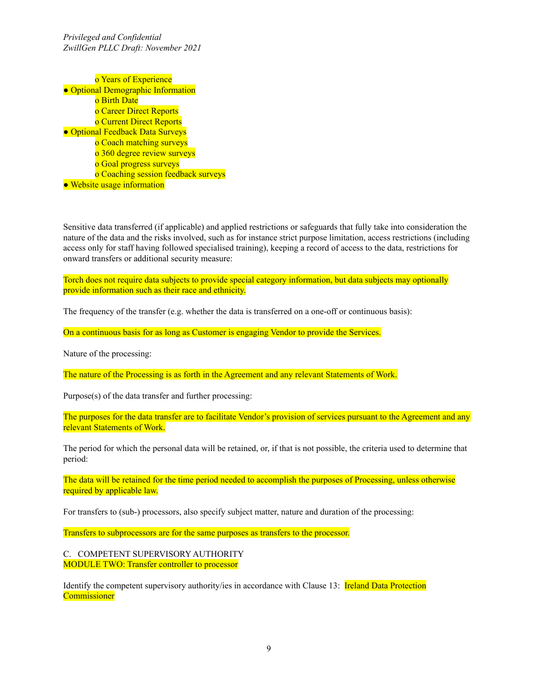*Privileged and Confidential ZwillGen PLLC Draft: November 2021*

o Years of Experience ● Optional Demographic Information o Birth Date o Career Direct Reports o Current Direct Reports ● Optional Feedback Data Surveys o Coach matching surveys o 360 degree review surveys o Goal progress surveys o Coaching session feedback surveys ● Website usage information

Sensitive data transferred (if applicable) and applied restrictions or safeguards that fully take into consideration the nature of the data and the risks involved, such as for instance strict purpose limitation, access restrictions (including access only for staff having followed specialised training), keeping a record of access to the data, restrictions for onward transfers or additional security measure:

Torch does not require data subjects to provide special category information, but data subjects may optionally provide information such as their race and ethnicity.

The frequency of the transfer (e.g. whether the data is transferred on a one-off or continuous basis):

On a continuous basis for as long as Customer is engaging Vendor to provide the Services.

Nature of the processing:

The nature of the Processing is as forth in the Agreement and any relevant Statements of Work.

Purpose(s) of the data transfer and further processing:

The purposes for the data transfer are to facilitate Vendor's provision of services pursuant to the Agreement and any relevant Statements of Work.

The period for which the personal data will be retained, or, if that is not possible, the criteria used to determine that period:

The data will be retained for the time period needed to accomplish the purposes of Processing, unless otherwise required by applicable law.

For transfers to (sub-) processors, also specify subject matter, nature and duration of the processing:

Transfers to subprocessors are for the same purposes as transfers to the processor.

C. COMPETENT SUPERVISORY AUTHORITY MODULE TWO: Transfer controller to processor

Identify the competent supervisory authority/ies in accordance with Clause 13: **Ireland Data Protection Commissioner**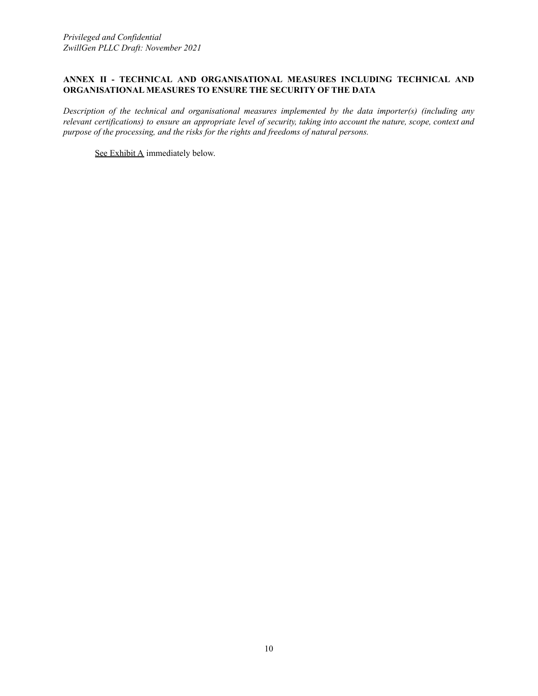## **ANNEX II - TECHNICAL AND ORGANISATIONAL MEASURES INCLUDING TECHNICAL AND ORGANISATIONAL MEASURES TO ENSURE THE SECURITY OF THE DATA**

*Description of the technical and organisational measures implemented by the data importer(s) (including any* relevant certifications) to ensure an appropriate level of security, taking into account the nature, scope, context and *purpose of the processing, and the risks for the rights and freedoms of natural persons.*

See Exhibit A immediately below.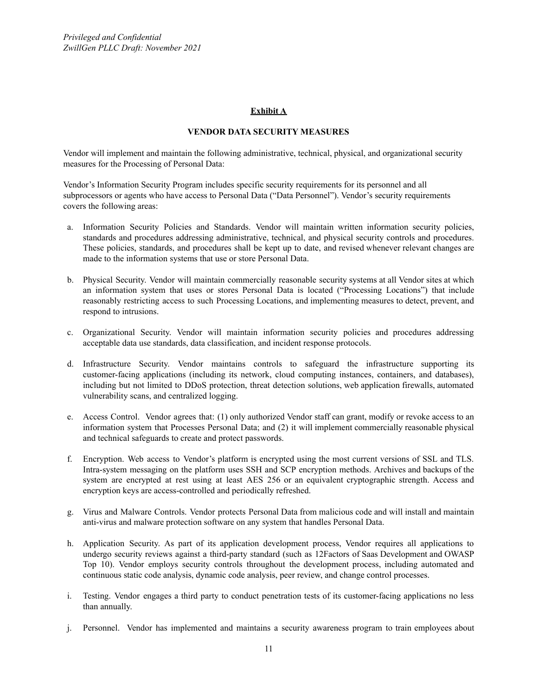### **Exhibit A**

#### **VENDOR DATA SECURITY MEASURES**

Vendor will implement and maintain the following administrative, technical, physical, and organizational security measures for the Processing of Personal Data:

Vendor's Information Security Program includes specific security requirements for its personnel and all subprocessors or agents who have access to Personal Data ("Data Personnel"). Vendor's security requirements covers the following areas:

- a. Information Security Policies and Standards. Vendor will maintain written information security policies, standards and procedures addressing administrative, technical, and physical security controls and procedures. These policies, standards, and procedures shall be kept up to date, and revised whenever relevant changes are made to the information systems that use or store Personal Data.
- b. Physical Security. Vendor will maintain commercially reasonable security systems at all Vendor sites at which an information system that uses or stores Personal Data is located ("Processing Locations") that include reasonably restricting access to such Processing Locations, and implementing measures to detect, prevent, and respond to intrusions.
- c. Organizational Security. Vendor will maintain information security policies and procedures addressing acceptable data use standards, data classification, and incident response protocols.
- d. Infrastructure Security. Vendor maintains controls to safeguard the infrastructure supporting its customer-facing applications (including its network, cloud computing instances, containers, and databases), including but not limited to DDoS protection, threat detection solutions, web application firewalls, automated vulnerability scans, and centralized logging.
- e. Access Control. Vendor agrees that: (1) only authorized Vendor staff can grant, modify or revoke access to an information system that Processes Personal Data; and (2) it will implement commercially reasonable physical and technical safeguards to create and protect passwords.
- f. Encryption. Web access to Vendor's platform is encrypted using the most current versions of SSL and TLS. Intra-system messaging on the platform uses SSH and SCP encryption methods. Archives and backups of the system are encrypted at rest using at least AES 256 or an equivalent cryptographic strength. Access and encryption keys are access-controlled and periodically refreshed.
- g. Virus and Malware Controls. Vendor protects Personal Data from malicious code and will install and maintain anti-virus and malware protection software on any system that handles Personal Data.
- h. Application Security. As part of its application development process, Vendor requires all applications to undergo security reviews against a third-party standard (such as 12Factors of Saas Development and OWASP Top 10). Vendor employs security controls throughout the development process, including automated and continuous static code analysis, dynamic code analysis, peer review, and change control processes.
- i. Testing. Vendor engages a third party to conduct penetration tests of its customer-facing applications no less than annually.
- j. Personnel. Vendor has implemented and maintains a security awareness program to train employees about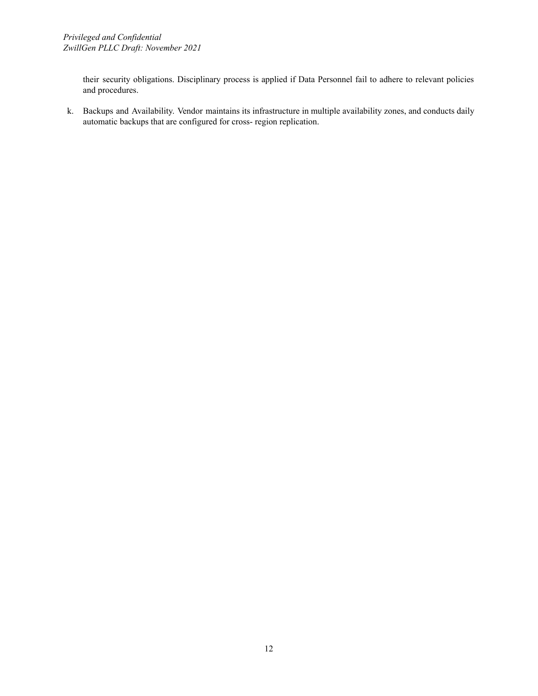their security obligations. Disciplinary process is applied if Data Personnel fail to adhere to relevant policies and procedures.

k. Backups and Availability. Vendor maintains its infrastructure in multiple availability zones, and conducts daily automatic backups that are configured for cross- region replication.